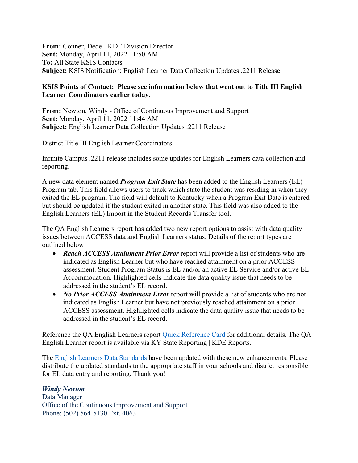**From:** Conner, Dede - KDE Division Director **Sent:** Monday, April 11, 2022 11:50 AM **To:** All State KSIS Contacts **Subject:** KSIS Notification: English Learner Data Collection Updates .2211 Release

## **KSIS Points of Contact: Please see information below that went out to Title III English Learner Coordinators earlier today.**

**From:** Newton, Windy - Office of Continuous Improvement and Support **Sent:** Monday, April 11, 2022 11:44 AM **Subject:** English Learner Data Collection Updates .2211 Release

District Title III English Learner Coordinators:

Infinite Campus .2211 release includes some updates for English Learners data collection and reporting.

A new data element named *Program Exit State* has been added to the English Learners (EL) Program tab. This field allows users to track which state the student was residing in when they exited the EL program. The field will default to Kentucky when a Program Exit Date is entered but should be updated if the student exited in another state. This field was also added to the English Learners (EL) Import in the Student Records Transfer tool.

The QA English Learners report has added two new report options to assist with data quality issues between ACCESS data and English Learners status. Details of the report types are outlined below:

- *Reach ACCESS Attainment Prior Error* report will provide a list of students who are indicated as English Learner but who have reached attainment on a prior ACCESS assessment. Student Program Status is EL and/or an active EL Service and/or active EL Accommodation. Highlighted cells indicate the data quality issue that needs to be addressed in the student's EL record.
- *No Prior ACCESS Attainment Error* report will provide a list of students who are not indicated as English Learner but have not previously reached attainment on a prior ACCESS assessment. Highlighted cells indicate the data quality issue that needs to be addressed in the student's EL record.

Reference the QA English Learners report [Quick Reference Card](https://education.ky.gov/districts/tech/sis/Documents/IC_CustomRpt_QA_English_Learners.pdf) for additional details. The QA English Learner report is available via KY State Reporting | KDE Reports.

The [English Learners Data Standards](https://education.ky.gov/districts/tech/sis/Documents/Standard-LEP.pdf) have been updated with these new enhancements. Please distribute the updated standards to the appropriate staff in your schools and district responsible for EL data entry and reporting. Thank you!

## *Windy Newton*

Data Manager Office of the Continuous Improvement and Support Phone: (502) 564-5130 Ext. 4063